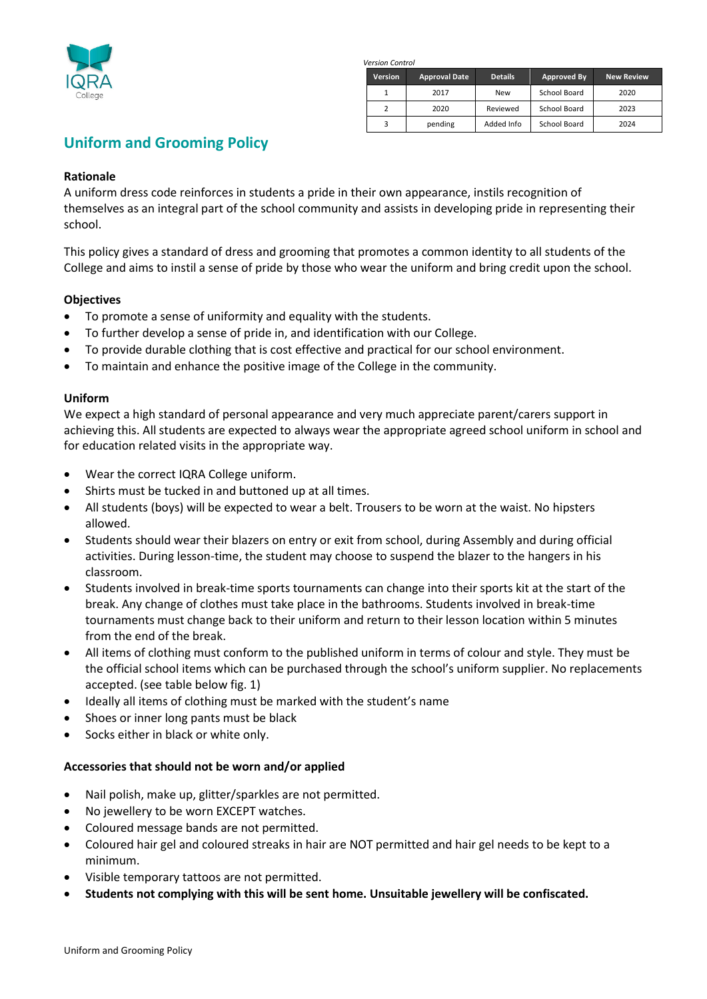

*Version Control*

| Version | <b>Approval Date</b> | <b>Details</b> | Approved By  | <b>New Review</b> |
|---------|----------------------|----------------|--------------|-------------------|
|         | 2017                 | <b>New</b>     | School Board | 2020              |
|         | 2020                 | Reviewed       | School Board | 2023              |
|         | pending              | Added Info     | School Board | 2024              |

# **Uniform and Grooming Policy**

## **Rationale**

A uniform dress code reinforces in students a pride in their own appearance, instils recognition of themselves as an integral part of the school community and assists in developing pride in representing their school.

This policy gives a standard of dress and grooming that promotes a common identity to all students of the College and aims to instil a sense of pride by those who wear the uniform and bring credit upon the school.

## **Objectives**

- To promote a sense of uniformity and equality with the students.
- To further develop a sense of pride in, and identification with our College.
- To provide durable clothing that is cost effective and practical for our school environment.
- To maintain and enhance the positive image of the College in the community.

## **Uniform**

We expect a high standard of personal appearance and very much appreciate parent/carers support in achieving this. All students are expected to always wear the appropriate agreed school uniform in school and for education related visits in the appropriate way.

- Wear the correct IQRA College uniform.
- Shirts must be tucked in and buttoned up at all times.
- All students (boys) will be expected to wear a belt. Trousers to be worn at the waist. No hipsters allowed.
- Students should wear their blazers on entry or exit from school, during Assembly and during official activities. During lesson-time, the student may choose to suspend the blazer to the hangers in his classroom.
- Students involved in break-time sports tournaments can change into their sports kit at the start of the break. Any change of clothes must take place in the bathrooms. Students involved in break-time tournaments must change back to their uniform and return to their lesson location within 5 minutes from the end of the break.
- All items of clothing must conform to the published uniform in terms of colour and style. They must be the official school items which can be purchased through the school's uniform supplier. No replacements accepted. (see table below fig. 1)
- Ideally all items of clothing must be marked with the student's name
- Shoes or inner long pants must be black
- Socks either in black or white only.

## **Accessories that should not be worn and/or applied**

- Nail polish, make up, glitter/sparkles are not permitted.
- No jewellery to be worn EXCEPT watches.
- Coloured message bands are not permitted.
- Coloured hair gel and coloured streaks in hair are NOT permitted and hair gel needs to be kept to a minimum.
- Visible temporary tattoos are not permitted.
- **Students not complying with this will be sent home. Unsuitable jewellery will be confiscated.**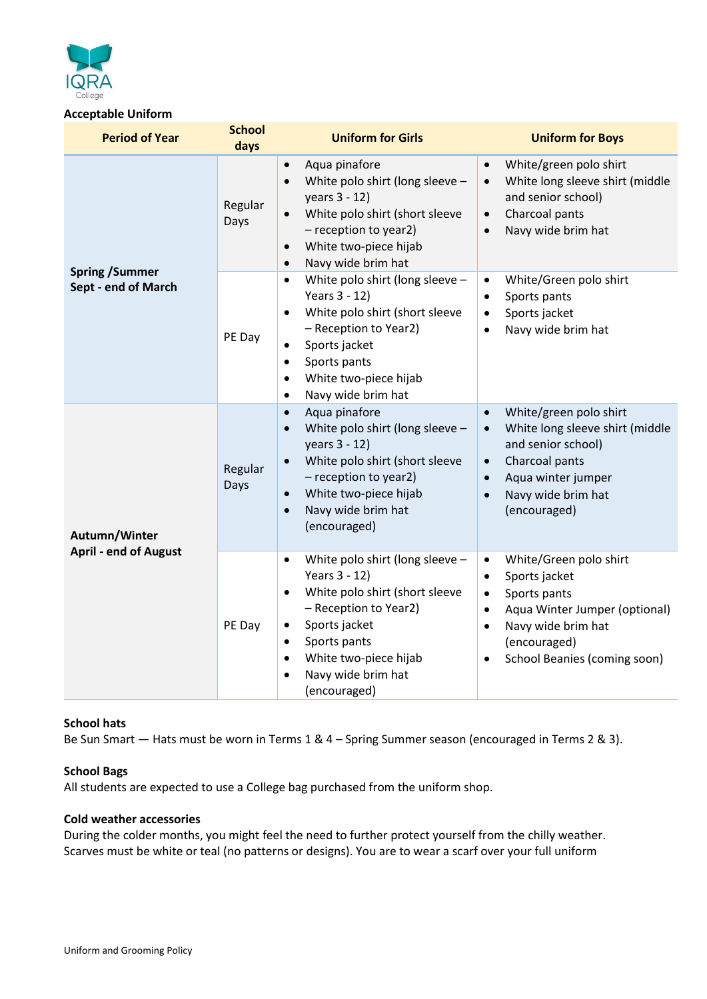

## **Acceptable Uniform**

| <b>Period of Year</b>                         | <b>School</b><br>days | <b>Uniform for Girls</b>                                                                                                                                                                                                                                                                  | <b>Uniform for Boys</b>                                                                                                                                                                                                                      |
|-----------------------------------------------|-----------------------|-------------------------------------------------------------------------------------------------------------------------------------------------------------------------------------------------------------------------------------------------------------------------------------------|----------------------------------------------------------------------------------------------------------------------------------------------------------------------------------------------------------------------------------------------|
|                                               | Regular<br>Days       | Aqua pinafore<br>$\bullet$<br>White polo shirt (long sleeve -<br>$\bullet$<br>years 3 - 12)<br>White polo shirt (short sleeve<br>$\bullet$<br>- reception to year2)<br>White two-piece hijab<br>$\bullet$<br>Navy wide brim hat<br>$\bullet$                                              | White/green polo shirt<br>$\bullet$<br>White long sleeve shirt (middle<br>$\bullet$<br>and senior school)<br>Charcoal pants<br>$\bullet$<br>Navy wide brim hat<br>$\bullet$                                                                  |
| <b>Spring / Summer</b><br>Sept - end of March | PE Day                | White polo shirt (long sleeve -<br>$\bullet$<br>Years 3 - 12)<br>White polo shirt (short sleeve<br>$\bullet$<br>- Reception to Year2)<br>Sports jacket<br>$\bullet$<br>Sports pants<br>$\bullet$<br>White two-piece hijab<br>$\bullet$<br>Navy wide brim hat<br>$\bullet$                 | White/Green polo shirt<br>$\bullet$<br>Sports pants<br>$\bullet$<br>Sports jacket<br>$\bullet$<br>Navy wide brim hat<br>$\bullet$                                                                                                            |
| Autumn/Winter                                 | Regular<br>Days       | Aqua pinafore<br>$\bullet$<br>White polo shirt (long sleeve -<br>$\bullet$<br>years 3 - 12)<br>White polo shirt (short sleeve<br>- reception to year2)<br>White two-piece hijab<br>$\bullet$<br>Navy wide brim hat<br>$\bullet$<br>(encouraged)                                           | White/green polo shirt<br>$\bullet$<br>White long sleeve shirt (middle<br>$\bullet$<br>and senior school)<br>Charcoal pants<br>$\bullet$<br>Aqua winter jumper<br>$\bullet$<br>Navy wide brim hat<br>$\bullet$<br>(encouraged)               |
| <b>April - end of August</b>                  | PE Day                | White polo shirt (long sleeve -<br>$\bullet$<br>Years 3 - 12)<br>White polo shirt (short sleeve<br>$\bullet$<br>- Reception to Year2)<br>Sports jacket<br>$\bullet$<br>Sports pants<br>$\bullet$<br>White two-piece hijab<br>$\bullet$<br>Navy wide brim hat<br>$\bullet$<br>(encouraged) | White/Green polo shirt<br>$\bullet$<br>Sports jacket<br>$\bullet$<br>Sports pants<br>$\bullet$<br>Aqua Winter Jumper (optional)<br>$\bullet$<br>Navy wide brim hat<br>$\bullet$<br>(encouraged)<br>School Beanies (coming soon)<br>$\bullet$ |

## **School hats**

Be Sun Smart — Hats must be worn in Terms 1 & 4 – Spring Summer season (encouraged in Terms 2 & 3).

## **School Bags**

All students are expected to use a College bag purchased from the uniform shop.

#### **Cold weather accessories**

During the colder months, you might feel the need to further protect yourself from the chilly weather. Scarves must be white or teal (no patterns or designs). You are to wear a scarf over your full uniform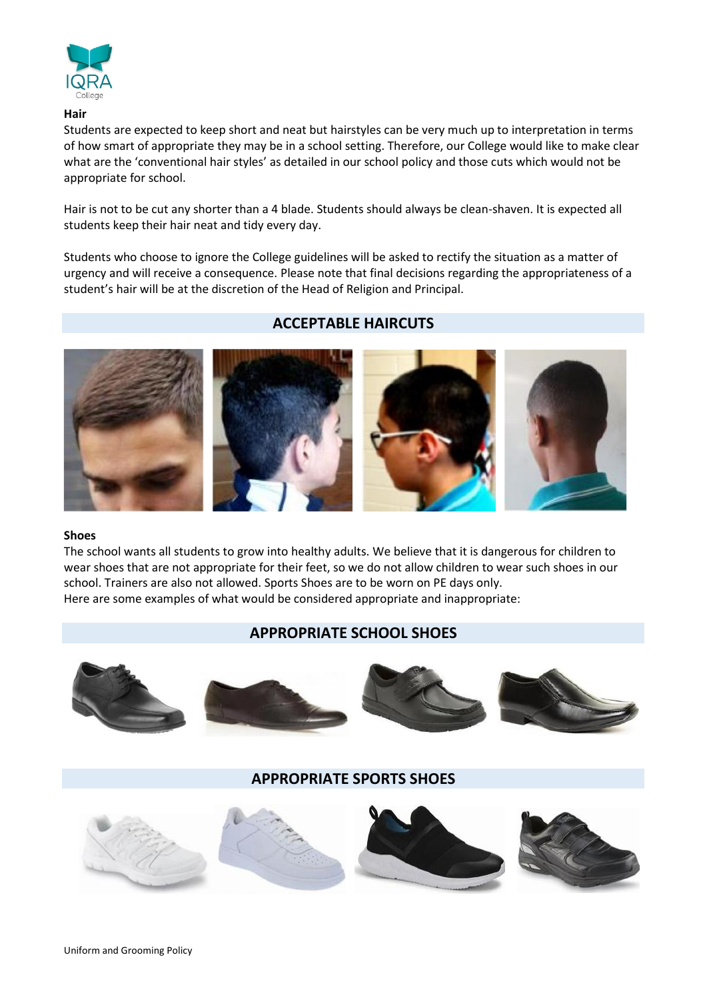

#### **Hair**

Students are expected to keep short and neat but hairstyles can be very much up to interpretation in terms of how smart of appropriate they may be in a school setting. Therefore, our College would like to make clear what are the 'conventional hair styles' as detailed in our school policy and those cuts which would not be appropriate for school.

Hair is not to be cut any shorter than a 4 blade. Students should always be clean-shaven. It is expected all students keep their hair neat and tidy every day.

Students who choose to ignore the College guidelines will be asked to rectify the situation as a matter of urgency and will receive a consequence. Please note that final decisions regarding the appropriateness of a student's hair will be at the discretion of the Head of Religion and Principal.

## **ACCEPTABLE HAIRCUTS**



#### **Shoes**

The school wants all students to grow into healthy adults. We believe that it is dangerous for children to wear shoes that are not appropriate for their feet, so we do not allow children to wear such shoes in our school. Trainers are also not allowed. Sports Shoes are to be worn on PE days only. Here are some examples of what would be considered appropriate and inappropriate:

## **APPROPRIATE SCHOOL SHOES**



## **APPROPRIATE SPORTS SHOES**